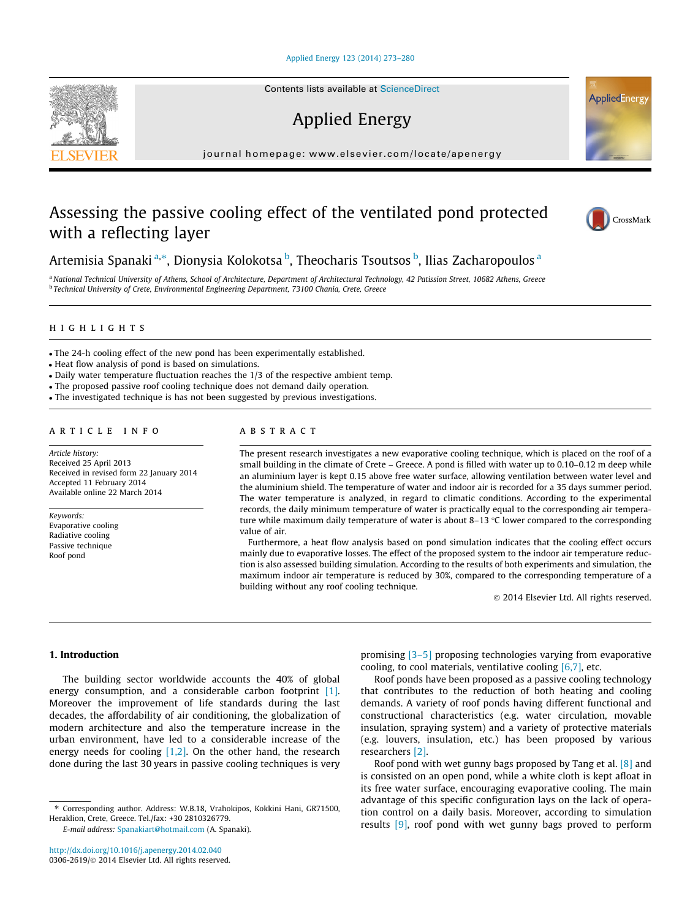#### [Applied Energy 123 \(2014\) 273–280](http://dx.doi.org/10.1016/j.apenergy.2014.02.040)

Contents lists available at [ScienceDirect](http://www.sciencedirect.com/science/journal/03062619)

## Applied Energy

journal homepage: [www.elsevier.com/locate/apenergy](http://www.elsevier.com/locate/apenergy)

### Assessing the passive cooling effect of the ventilated pond protected with a reflecting layer



a National Technical University of Athens, School of Architecture, Department of Architectural Technology, 42 Patission Street, 10682 Athens, Greece <sup>b</sup> Technical University of Crete, Environmental Engineering Department, 73100 Chania, Crete, Greece

#### highlights

- The 24-h cooling effect of the new pond has been experimentally established.
- Heat flow analysis of pond is based on simulations.
- Daily water temperature fluctuation reaches the 1/3 of the respective ambient temp.
- The proposed passive roof cooling technique does not demand daily operation.
- The investigated technique is has not been suggested by previous investigations.

#### article info

Article history: Received 25 April 2013 Received in revised form 22 January 2014 Accepted 11 February 2014 Available online 22 March 2014

Keywords: Evaporative cooling Radiative cooling Passive technique Roof pond

#### A B S T R A C T

The present research investigates a new evaporative cooling technique, which is placed on the roof of a small building in the climate of Crete – Greece. A pond is filled with water up to 0.10–0.12 m deep while an aluminium layer is kept 0.15 above free water surface, allowing ventilation between water level and the aluminium shield. The temperature of water and indoor air is recorded for a 35 days summer period. The water temperature is analyzed, in regard to climatic conditions. According to the experimental records, the daily minimum temperature of water is practically equal to the corresponding air temperature while maximum daily temperature of water is about 8–13  $\degree$ C lower compared to the corresponding value of air.

Furthermore, a heat flow analysis based on pond simulation indicates that the cooling effect occurs mainly due to evaporative losses. The effect of the proposed system to the indoor air temperature reduction is also assessed building simulation. According to the results of both experiments and simulation, the maximum indoor air temperature is reduced by 30%, compared to the corresponding temperature of a building without any roof cooling technique.

2014 Elsevier Ltd. All rights reserved.

#### 1. Introduction

The building sector worldwide accounts the 40% of global energy consumption, and a considerable carbon footprint [\[1\].](#page--1-0) Moreover the improvement of life standards during the last decades, the affordability of air conditioning, the globalization of modern architecture and also the temperature increase in the urban environment, have led to a considerable increase of the energy needs for cooling [\[1,2\].](#page--1-0) On the other hand, the research done during the last 30 years in passive cooling techniques is very

E-mail address: [Spanakiart@hotmail.com](mailto:Spanakiart@hotmail.com) (A. Spanaki).

promising [\[3–5\]](#page--1-0) proposing technologies varying from evaporative cooling, to cool materials, ventilative cooling  $[6,7]$ , etc.

Roof ponds have been proposed as a passive cooling technology that contributes to the reduction of both heating and cooling demands. A variety of roof ponds having different functional and constructional characteristics (e.g. water circulation, movable insulation, spraying system) and a variety of protective materials (e.g. louvers, insulation, etc.) has been proposed by various researchers [\[2\].](#page--1-0)

Roof pond with wet gunny bags proposed by Tang et al. [\[8\]](#page--1-0) and is consisted on an open pond, while a white cloth is kept afloat in its free water surface, encouraging evaporative cooling. The main advantage of this specific configuration lays on the lack of operation control on a daily basis. Moreover, according to simulation results [\[9\],](#page--1-0) roof pond with wet gunny bags proved to perform





AppliedEnergy

<sup>⇑</sup> Corresponding author. Address: W.B.18, Vrahokipos, Kokkini Hani, GR71500, Heraklion, Crete, Greece. Tel./fax: +30 2810326779.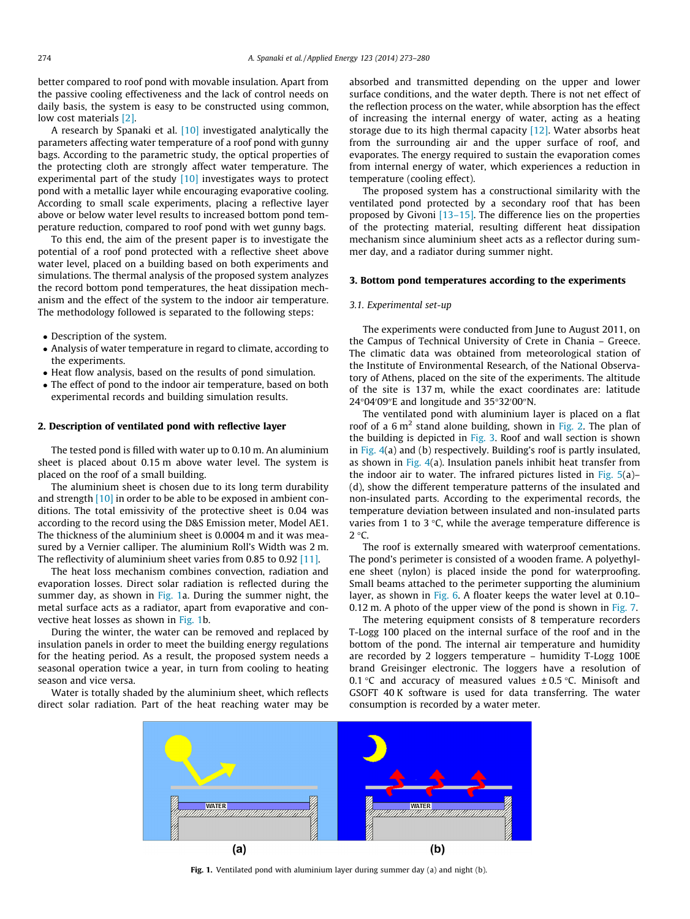better compared to roof pond with movable insulation. Apart from the passive cooling effectiveness and the lack of control needs on daily basis, the system is easy to be constructed using common, low cost materials [\[2\].](#page--1-0)

A research by Spanaki et al. [\[10\]](#page--1-0) investigated analytically the parameters affecting water temperature of a roof pond with gunny bags. According to the parametric study, the optical properties of the protecting cloth are strongly affect water temperature. The experimental part of the study  $[10]$  investigates ways to protect pond with a metallic layer while encouraging evaporative cooling. According to small scale experiments, placing a reflective layer above or below water level results to increased bottom pond temperature reduction, compared to roof pond with wet gunny bags.

To this end, the aim of the present paper is to investigate the potential of a roof pond protected with a reflective sheet above water level, placed on a building based on both experiments and simulations. The thermal analysis of the proposed system analyzes the record bottom pond temperatures, the heat dissipation mechanism and the effect of the system to the indoor air temperature. The methodology followed is separated to the following steps:

- Description of the system.
- Analysis of water temperature in regard to climate, according to the experiments.
- Heat flow analysis, based on the results of pond simulation.
- The effect of pond to the indoor air temperature, based on both experimental records and building simulation results.

#### 2. Description of ventilated pond with reflective layer

The tested pond is filled with water up to 0.10 m. An aluminium sheet is placed about 0.15 m above water level. The system is placed on the roof of a small building.

The aluminium sheet is chosen due to its long term durability and strength [\[10\]](#page--1-0) in order to be able to be exposed in ambient conditions. The total emissivity of the protective sheet is 0.04 was according to the record using the D&S Emission meter, Model AE1. The thickness of the aluminium sheet is 0.0004 m and it was measured by a Vernier calliper. The aluminium Roll's Width was 2 m. The reflectivity of aluminium sheet varies from 0.85 to 0.92 [\[11\].](#page--1-0)

The heat loss mechanism combines convection, radiation and evaporation losses. Direct solar radiation is reflected during the summer day, as shown in Fig. 1a. During the summer night, the metal surface acts as a radiator, apart from evaporative and convective heat losses as shown in Fig. 1b.

During the winter, the water can be removed and replaced by insulation panels in order to meet the building energy regulations for the heating period. As a result, the proposed system needs a seasonal operation twice a year, in turn from cooling to heating season and vice versa.

Water is totally shaded by the aluminium sheet, which reflects direct solar radiation. Part of the heat reaching water may be

absorbed and transmitted depending on the upper and lower surface conditions, and the water depth. There is not net effect of the reflection process on the water, while absorption has the effect of increasing the internal energy of water, acting as a heating storage due to its high thermal capacity  $[12]$ . Water absorbs heat from the surrounding air and the upper surface of roof, and evaporates. The energy required to sustain the evaporation comes from internal energy of water, which experiences a reduction in temperature (cooling effect).

The proposed system has a constructional similarity with the ventilated pond protected by a secondary roof that has been proposed by Givoni [\[13–15\].](#page--1-0) The difference lies on the properties of the protecting material, resulting different heat dissipation mechanism since aluminium sheet acts as a reflector during summer day, and a radiator during summer night.

#### 3. Bottom pond temperatures according to the experiments

#### 3.1. Experimental set-up

The experiments were conducted from June to August 2011, on the Campus of Technical University of Crete in Chania – Greece. The climatic data was obtained from meteorological station of the Institute of Environmental Research, of the National Observatory of Athens, placed on the site of the experiments. The altitude of the site is 137 m, while the exact coordinates are: latitude  $24^{\circ}04'09''$ E and longitude and  $35^{\circ}32'00''$ N.

The ventilated pond with aluminium layer is placed on a flat roof of a  $6 \text{ m}^2$  stand alone building, shown in [Fig. 2](#page--1-0). The plan of the building is depicted in [Fig. 3](#page--1-0). Roof and wall section is shown in [Fig. 4](#page--1-0)(a) and (b) respectively. Building's roof is partly insulated, as shown in Fig.  $4(a)$ . Insulation panels inhibit heat transfer from the indoor air to water. The infrared pictures listed in [Fig. 5\(](#page--1-0)a)– (d), show the different temperature patterns of the insulated and non-insulated parts. According to the experimental records, the temperature deviation between insulated and non-insulated parts varies from 1 to 3  $\degree$ C, while the average temperature difference is  $2 °C$ .

The roof is externally smeared with waterproof cementations. The pond's perimeter is consisted of a wooden frame. A polyethylene sheet (nylon) is placed inside the pond for waterproofing. Small beams attached to the perimeter supporting the aluminium layer, as shown in [Fig. 6](#page--1-0). A floater keeps the water level at 0.10– 0.12 m. A photo of the upper view of the pond is shown in [Fig. 7](#page--1-0).

The metering equipment consists of 8 temperature recorders T-Logg 100 placed on the internal surface of the roof and in the bottom of the pond. The internal air temperature and humidity are recorded by 2 loggers temperature – humidity T-Logg 100E brand Greisinger electronic. The loggers have a resolution of 0.1 °C and accuracy of measured values  $\pm$  0.5 °C. Minisoft and GSOFT 40 K software is used for data transferring. The water consumption is recorded by a water meter.



Fig. 1. Ventilated pond with aluminium layer during summer day (a) and night (b).